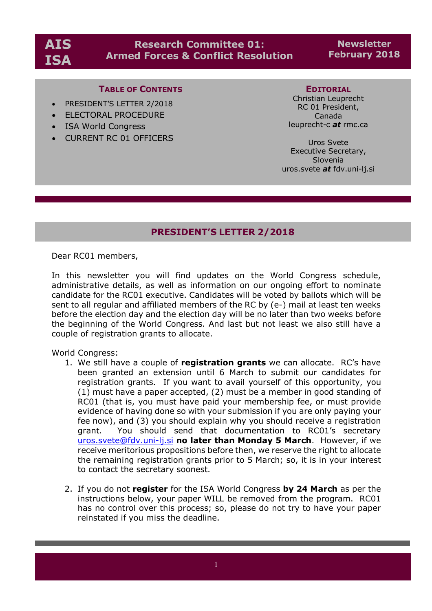# **Research Committee 01: Armed Forces & Conflict Resolution**

**Newsletter February 2018**

## **TABLE OF CONTENTS**

- PRESIDENT'S LETTER 2/2018
- ELECTORAL PROCEDURE
- ISA World Congress
- CURRENT RC 01 OFFICERS

#### **EDITORIAL**

Christian Leuprecht RC 01 President, Canada leuprecht-c *at* rmc.ca

Uros Svete Executive Secretary, Slovenia uros.svete *at* fdv.uni-lj.si

## **PRESIDENT'S LETTER 2/2018**

Dear RC01 members,

In this newsletter you will find updates on the World Congress schedule, administrative details, as well as information on our ongoing effort to nominate candidate for the RC01 executive. Candidates will be voted by ballots which will be sent to all regular and affiliated members of the RC by (e-) mail at least ten weeks before the election day and the election day will be no later than two weeks before the beginning of the World Congress. And last but not least we also still have a couple of registration grants to allocate.

World Congress:

- 1. We still have a couple of **registration grants** we can allocate. RC's have been granted an extension until 6 March to submit our candidates for registration grants. If you want to avail yourself of this opportunity, you (1) must have a paper accepted, (2) must be a member in good standing of RC01 (that is, you must have paid your membership fee, or must provide evidence of having done so with your submission if you are only paying your fee now), and (3) you should explain why you should receive a registration grant. You should send that documentation to RC01's secretary uros.svete@fdv.uni-lj.si **no later than Monday 5 March**. However, if we receive meritorious propositions before then, we reserve the right to allocate the remaining registration grants prior to 5 March; so, it is in your interest to contact the secretary soonest.
- 2. If you do not **register** for the ISA World Congress **by 24 March** as per the instructions below, your paper WILL be removed from the program. RC01 has no control over this process; so, please do not try to have your paper reinstated if you miss the deadline.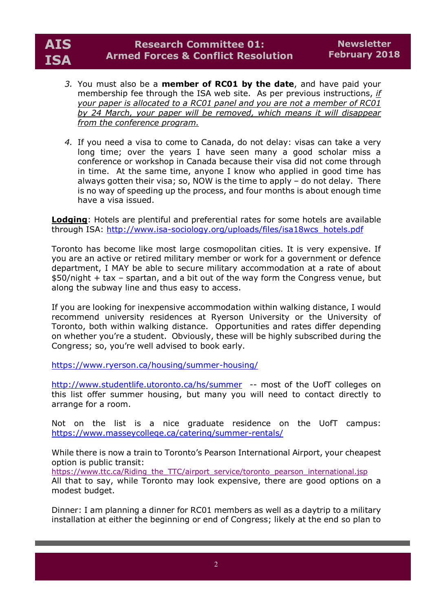

- *3.* You must also be a **member of RC01 by the date**, and have paid your membership fee through the ISA web site. As per previous instructions, *if your paper is allocated to a RC01 panel and you are not a member of RC01 by 24 March, your paper will be removed, which means it will disappear from the conference program.*
- *4.* If you need a visa to come to Canada, do not delay: visas can take a very long time; over the years I have seen many a good scholar miss a conference or workshop in Canada because their visa did not come through in time. At the same time, anyone I know who applied in good time has always gotten their visa; so, NOW is the time to apply – do not delay. There is no way of speeding up the process, and four months is about enough time have a visa issued.

**Lodging**: Hotels are plentiful and preferential rates for some hotels are available through ISA: http://www.isa-sociology.org/uploads/files/isa18wcs\_hotels.pdf

Toronto has become like most large cosmopolitan cities. It is very expensive. If you are an active or retired military member or work for a government or defence department, I MAY be able to secure military accommodation at a rate of about \$50/night + tax – spartan, and a bit out of the way form the Congress venue, but along the subway line and thus easy to access.

If you are looking for inexpensive accommodation within walking distance, I would recommend university residences at Ryerson University or the University of Toronto, both within walking distance. Opportunities and rates differ depending on whether you're a student. Obviously, these will be highly subscribed during the Congress; so, you're well advised to book early.

https://www.ryerson.ca/housing/summer-housing/

http://www.studentlife.utoronto.ca/hs/summer -- most of the UofT colleges on this list offer summer housing, but many you will need to contact directly to arrange for a room.

Not on the list is a nice graduate residence on the UofT campus: https://www.masseycollege.ca/catering/summer-rentals/

While there is now a train to Toronto's Pearson International Airport, your cheapest option is public transit:

https://www.ttc.ca/Riding\_the\_TTC/airport\_service/toronto\_pearson\_international.jsp

All that to say, while Toronto may look expensive, there are good options on a modest budget.

Dinner: I am planning a dinner for RC01 members as well as a daytrip to a military installation at either the beginning or end of Congress; likely at the end so plan to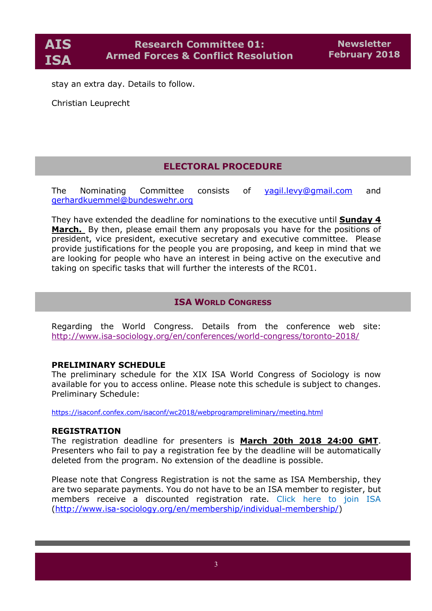stay an extra day. Details to follow.

Christian Leuprecht

## **ELECTORAL PROCEDURE**

The Nominating Committee consists of yagil.levy@gmail.com and gerhardkuemmel@bundeswehr.org

They have extended the deadline for nominations to the executive until **Sunday 4 March.** By then, please email them any proposals you have for the positions of president, vice president, executive secretary and executive committee. Please provide justifications for the people you are proposing, and keep in mind that we are looking for people who have an interest in being active on the executive and taking on specific tasks that will further the interests of the RC01.

## **ISA WORLD CONGRESS**

Regarding the World Congress. Details from the conference web site: http://www.isa-sociology.org/en/conferences/world-congress/toronto-2018/

## **PRELIMINARY SCHEDULE**

The preliminary schedule for the XIX ISA World Congress of Sociology is now available for you to access online. Please note this schedule is subject to changes. Preliminary Schedule:

https://isaconf.confex.com/isaconf/wc2018/webprogrampreliminary/meeting.html

#### **REGISTRATION**

The registration deadline for presenters is **March 20th 2018 24:00 GMT**. Presenters who fail to pay a registration fee by the deadline will be automatically deleted from the program. No extension of the deadline is possible.

Please note that Congress Registration is not the same as ISA Membership, they are two separate payments. You do not have to be an ISA member to register, but members receive a discounted registration rate. Click here to join ISA (http://www.isa-sociology.org/en/membership/individual-membership/)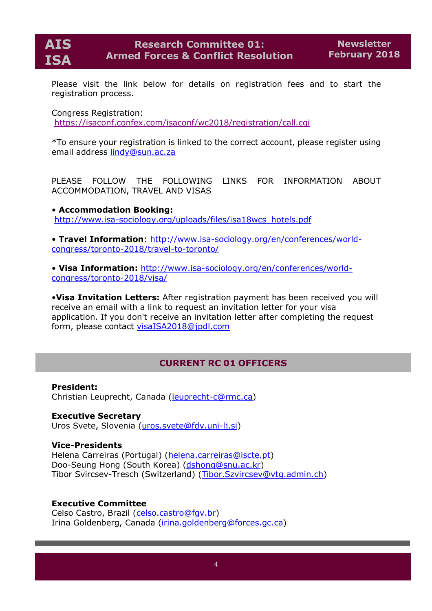

Please visit the link below for details on registration fees and to start the registration process.

Congress Registration:

https://isaconf.confex.com/isaconf/wc2018/registration/call.cgi

\*To ensure your registration is linked to the correct account, please register using email address lindy@sun.ac.za

PLEASE FOLLOW THE FOLLOWING LINKS FOR INFORMATION ABOUT ACCOMMODATION, TRAVEL AND VISAS

• **Accommodation Booking:** http://www.isa-sociology.org/uploads/files/isa18wcs\_hotels.pdf

• **Travel Information**: http://www.isa-sociology.org/en/conferences/worldcongress/toronto-2018/travel-to-toronto/

• **Visa Information:** http://www.isa-sociology.org/en/conferences/worldcongress/toronto-2018/visa/

•**Visa Invitation Letters:** After registration payment has been received you will receive an email with a link to request an invitation letter for your visa application. If you don't receive an invitation letter after completing the request form, please contact visaISA2018@jpdl.com

## **CURRENT RC 01 OFFICERS**

**President:** Christian Leuprecht, Canada (leuprecht-c@rmc.ca)

**Executive Secretary** Uros Svete, Slovenia (uros.svete@fdv.uni-lj.si)

## **Vice-Presidents**

Helena Carreiras (Portugal) (helena.carreiras@iscte.pt) Doo-Seung Hong (South Korea) (dshong@snu.ac.kr) Tibor Svircsev-Tresch (Switzerland) (Tibor.Szvircsev@vtg.admin.ch)

## **Executive Committee**

Celso Castro, Brazil (celso.castro@fgv.br) Irina Goldenberg, Canada (irina.goldenberg@forces.gc.ca)